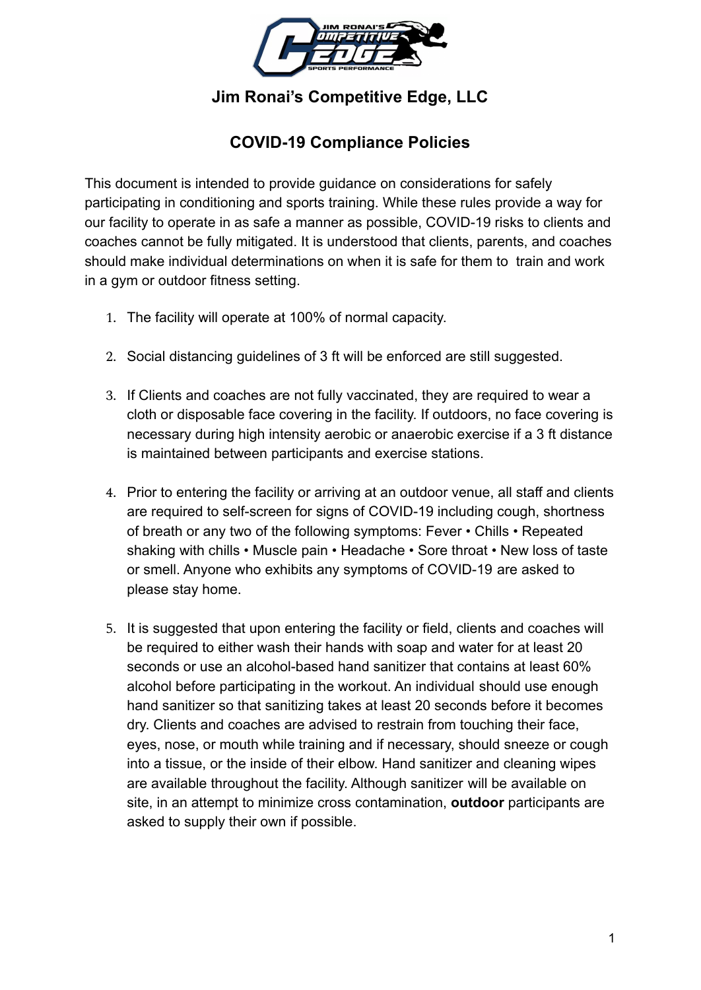

**Jim Ronai's Competitive Edge, LLC**

## **COVID-19 Compliance Policies**

This document is intended to provide guidance on considerations for safely participating in conditioning and sports training. While these rules provide a way for our facility to operate in as safe a manner as possible, COVID-19 risks to clients and coaches cannot be fully mitigated. It is understood that clients, parents, and coaches should make individual determinations on when it is safe for them to train and work in a gym or outdoor fitness setting.

- 1. The facility will operate at 100% of normal capacity.
- 2. Social distancing guidelines of 3 ft will be enforced are still suggested.
- 3. If Clients and coaches are not fully vaccinated, they are required to wear a cloth or disposable face covering in the facility. If outdoors, no face covering is necessary during high intensity aerobic or anaerobic exercise if a 3 ft distance is maintained between participants and exercise stations.
- 4. Prior to entering the facility or arriving at an outdoor venue, all staff and clients are required to self-screen for signs of COVID-19 including cough, shortness of breath or any two of the following symptoms: Fever • Chills • Repeated shaking with chills • Muscle pain • Headache • Sore throat • New loss of taste or smell. Anyone who exhibits any symptoms of COVID-19 are asked to please stay home.
- 5. It is suggested that upon entering the facility or field, clients and coaches will be required to either wash their hands with soap and water for at least 20 seconds or use an alcohol-based hand sanitizer that contains at least 60% alcohol before participating in the workout. An individual should use enough hand sanitizer so that sanitizing takes at least 20 seconds before it becomes dry. Clients and coaches are advised to restrain from touching their face, eyes, nose, or mouth while training and if necessary, should sneeze or cough into a tissue, or the inside of their elbow. Hand sanitizer and cleaning wipes are available throughout the facility. Although sanitizer will be available on site, in an attempt to minimize cross contamination, **outdoor** participants are asked to supply their own if possible.